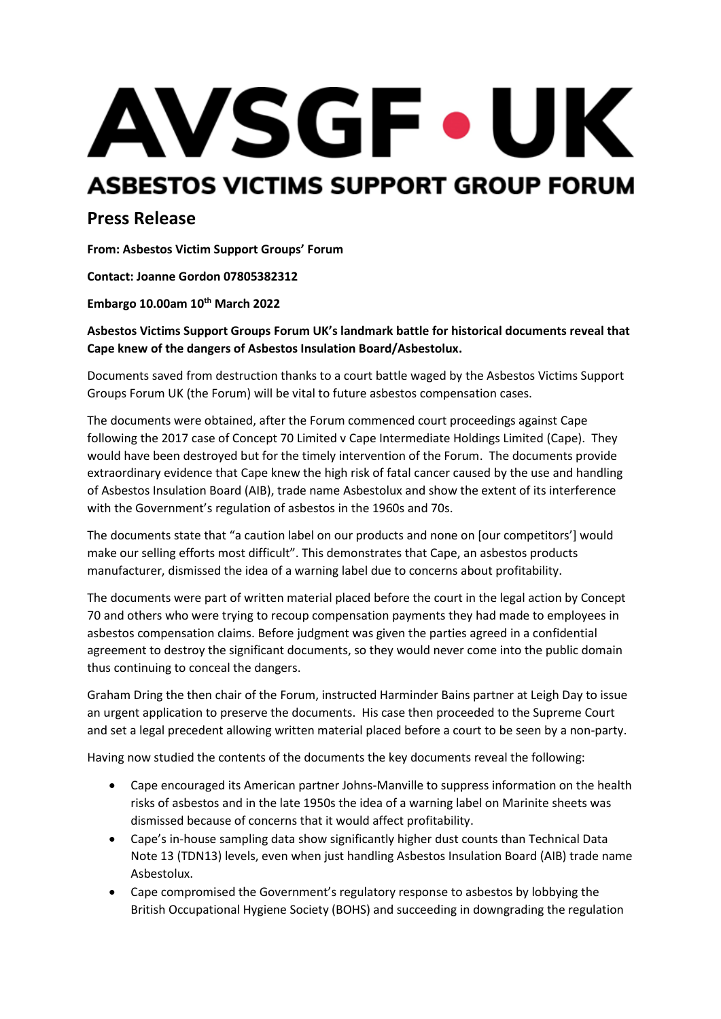# AVSGF.UK ASBESTOS VICTIMS SUPPORT GROUP FORUM

# **Press Release**

**From: Asbestos Victim Support Groups' Forum**

**Contact: Joanne Gordon 07805382312**

**Embargo 10.00am 10th March 2022**

## **Asbestos Victims Support Groups Forum UK's landmark battle for historical documents reveal that Cape knew of the dangers of Asbestos Insulation Board/Asbestolux.**

Documents saved from destruction thanks to a court battle waged by the Asbestos Victims Support Groups Forum UK (the Forum) will be vital to future asbestos compensation cases.

The documents were obtained, after the Forum commenced court proceedings against Cape following the 2017 case of Concept 70 Limited v Cape Intermediate Holdings Limited (Cape). The[y](https://www.leighday.co.uk/latest-updates/news/2019-news/supreme-court-rules-in-favour-of-asbestos-support-group-in-landmark-disclosure-battle/) [would have been destroyed but for the timely intervention of the Forum.](https://www.leighday.co.uk/latest-updates/news/2019-news/supreme-court-rules-in-favour-of-asbestos-support-group-in-landmark-disclosure-battle/) The documents provide extraordinary evidence that Cape knew the high risk of fatal cancer caused by the use and handling of Asbestos Insulation Board (AIB), trade name Asbestolux and show the extent of its interference with the Government's regulation of asbestos in the 1960s and 70s.

The documents state that "a caution label on our products and none on [our competitors'] would make our selling efforts most difficult". This demonstrates that Cape, an asbestos products manufacturer, dismissed the idea of a warning label due to concerns about profitability.

The documents were part of written material placed before the court in the legal action by Concept 70 and others who were trying to recoup compensation payments they had made to employees in asbestos compensation claims. Before judgment was given the parties agreed in a confidential agreement to destroy the significant documents, so they would never come into the public domain thus continuing to conceal the dangers.

Graham Dring the then chair of the Forum, instructed Harminder Bains partner at Leigh Day to issue an urgent application to preserve the documents. His case then proceeded to the Supreme Court and set a legal precedent allowing written material placed before a court to be seen by a non-party.

Having now studied the contents of the documents the key documents reveal the following:

- Cape encouraged its American partner Johns-Manville to suppress information on the health risks of asbestos and in the late 1950s the idea of a warning label on Marinite sheets was dismissed because of concerns that it would affect profitability.
- Cape's in-house sampling data show significantly higher dust counts than Technical Data Note 13 (TDN13) levels, even when just handling Asbestos Insulation Board (AIB) trade name Asbestolux.
- Cape compromised the Government's regulatory response to asbestos by lobbying the British Occupational Hygiene Society (BOHS) and succeeding in downgrading the regulation